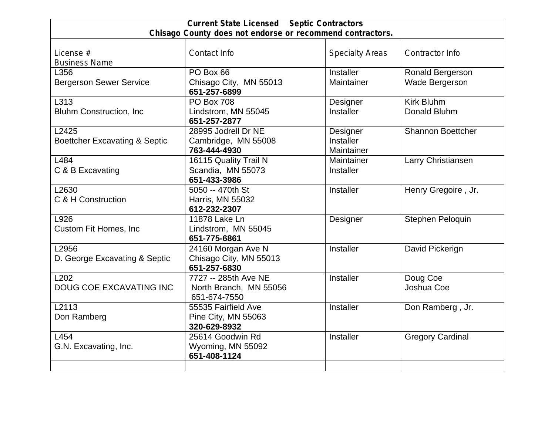| <b>Current State Licensed Septic Contractors</b><br>Chisago County does not endorse or recommend contractors. |                                                                |                                     |                                           |  |
|---------------------------------------------------------------------------------------------------------------|----------------------------------------------------------------|-------------------------------------|-------------------------------------------|--|
| License #<br><b>Business Name</b>                                                                             | Contact Info                                                   | <b>Specialty Areas</b>              | Contractor Info                           |  |
| L356<br><b>Bergerson Sewer Service</b>                                                                        | PO Box 66<br>Chisago City, MN 55013<br>651-257-6899            | Installer<br>Maintainer             | Ronald Bergerson<br><b>Wade Bergerson</b> |  |
| L313<br><b>Bluhm Construction, Inc.</b>                                                                       | <b>PO Box 708</b><br>Lindstrom, MN 55045<br>651-257-2877       | Designer<br>Installer               | Kirk Bluhm<br>Donald Bluhm                |  |
| L2425<br><b>Boettcher Excavating &amp; Septic</b>                                                             | 28995 Jodrell Dr NE<br>Cambridge, MN 55008<br>763-444-4930     | Designer<br>Installer<br>Maintainer | <b>Shannon Boettcher</b>                  |  |
| L484<br>C & B Excavating                                                                                      | 16115 Quality Trail N<br>Scandia, MN 55073<br>651-433-3986     | Maintainer<br>Installer             | Larry Christiansen                        |  |
| L2630<br>C & H Construction                                                                                   | 5050 -- 470th St<br>Harris, MN 55032<br>612-232-2307           | Installer                           | Henry Gregoire, Jr.                       |  |
| L926<br>Custom Fit Homes, Inc                                                                                 | 11878 Lake Ln<br>Lindstrom, MN 55045<br>651-775-6861           | Designer                            | Stephen Peloquin                          |  |
| L2956<br>D. George Excavating & Septic                                                                        | 24160 Morgan Ave N<br>Chisago City, MN 55013<br>651-257-6830   | Installer                           | David Pickerign                           |  |
| L <sub>202</sub><br><b>DOUG COE EXCAVATING INC</b>                                                            | 7727 -- 285th Ave NE<br>North Branch, MN 55056<br>651-674-7550 | Installer                           | Doug Coe<br>Joshua Coe                    |  |
| L2113<br>Don Ramberg                                                                                          | 55535 Fairfield Ave<br>Pine City, MN 55063<br>320-629-8932     | Installer                           | Don Ramberg, Jr.                          |  |
| L454<br>G.N. Excavating, Inc.                                                                                 | 25614 Goodwin Rd<br>Wyoming, MN 55092<br>651-408-1124          | Installer                           | <b>Gregory Cardinal</b>                   |  |
|                                                                                                               |                                                                |                                     |                                           |  |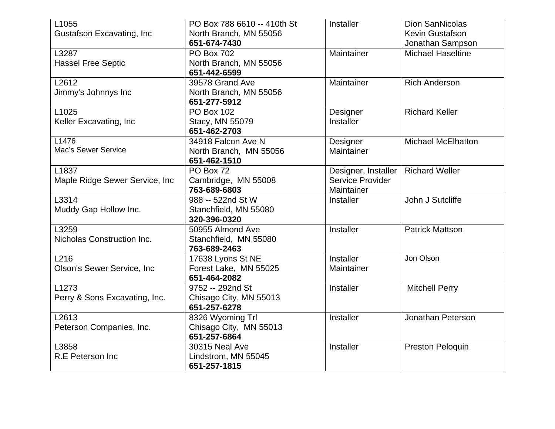| L1055                              | PO Box 788 6610 -- 410th St | Installer           | <b>Dion SanNicolas</b>    |
|------------------------------------|-----------------------------|---------------------|---------------------------|
| <b>Gustafson Excavating, Inc</b>   | North Branch, MN 55056      |                     | Kevin Gustafson           |
|                                    | 651-674-7430                |                     | Jonathan Sampson          |
| L3287                              | <b>PO Box 702</b>           | Maintainer          | <b>Michael Haseltine</b>  |
| <b>Hassel Free Septic</b>          | North Branch, MN 55056      |                     |                           |
|                                    | 651-442-6599                |                     |                           |
| L2612                              | 39578 Grand Ave             | Maintainer          | <b>Rich Anderson</b>      |
| Jimmy's Johnnys Inc                | North Branch, MN 55056      |                     |                           |
|                                    | 651-277-5912                |                     |                           |
| L1025                              | <b>PO Box 102</b>           | Designer            | <b>Richard Keller</b>     |
| Keller Excavating, Inc.            | Stacy, MN 55079             | Installer           |                           |
|                                    | 651-462-2703                |                     |                           |
| L1476                              | 34918 Falcon Ave N          | Designer            | <b>Michael McElhatton</b> |
| Mac's Sewer Service                | North Branch, MN 55056      | Maintainer          |                           |
|                                    | 651-462-1510                |                     |                           |
| L1837                              | PO Box 72                   | Designer, Installer | <b>Richard Weller</b>     |
| Maple Ridge Sewer Service, Inc     | Cambridge, MN 55008         | Service Provider    |                           |
|                                    | 763-689-6803                | Maintainer          |                           |
| L3314                              | 988 -- 522nd St W           | Installer           | John J Sutcliffe          |
| Muddy Gap Hollow Inc.              | Stanchfield, MN 55080       |                     |                           |
|                                    | 320-396-0320                |                     |                           |
| L3259                              | 50955 Almond Ave            | Installer           | <b>Patrick Mattson</b>    |
| Nicholas Construction Inc.         | Stanchfield, MN 55080       |                     |                           |
|                                    | 763-689-2463                |                     |                           |
| L216                               | 17638 Lyons St NE           | Installer           | Jon Olson                 |
| <b>Olson's Sewer Service, Inc.</b> | Forest Lake, MN 55025       | Maintainer          |                           |
|                                    | 651-464-2082                |                     |                           |
| L <sub>1273</sub>                  | 9752 -- 292nd St            | Installer           | <b>Mitchell Perry</b>     |
| Perry & Sons Excavating, Inc.      | Chisago City, MN 55013      |                     |                           |
|                                    | 651-257-6278                |                     |                           |
| L2613                              | 8326 Wyoming Trl            | Installer           | Jonathan Peterson         |
| Peterson Companies, Inc.           | Chisago City, MN 55013      |                     |                           |
|                                    | 651-257-6864                |                     |                           |
| L3858                              | 30315 Neal Ave              | Installer           | <b>Preston Peloquin</b>   |
| R.E Peterson Inc.                  | Lindstrom, MN 55045         |                     |                           |
|                                    | 651-257-1815                |                     |                           |